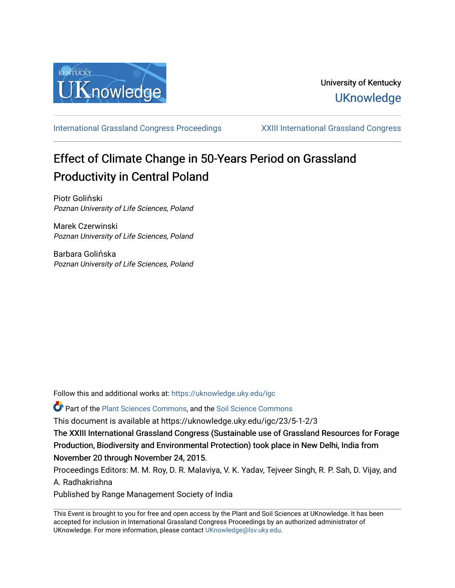

[International Grassland Congress Proceedings](https://uknowledge.uky.edu/igc) [XXIII International Grassland Congress](https://uknowledge.uky.edu/igc/23) 

# Effect of Climate Change in 50-Years Period on Grassland Productivity in Central Poland

Piotr Goliński Poznan University of Life Sciences, Poland

Marek Czerwinski Poznan University of Life Sciences, Poland

Barbara Golińska Poznan University of Life Sciences, Poland

Follow this and additional works at: [https://uknowledge.uky.edu/igc](https://uknowledge.uky.edu/igc?utm_source=uknowledge.uky.edu%2Figc%2F23%2F5-1-2%2F3&utm_medium=PDF&utm_campaign=PDFCoverPages) 

Part of the [Plant Sciences Commons](http://network.bepress.com/hgg/discipline/102?utm_source=uknowledge.uky.edu%2Figc%2F23%2F5-1-2%2F3&utm_medium=PDF&utm_campaign=PDFCoverPages), and the [Soil Science Commons](http://network.bepress.com/hgg/discipline/163?utm_source=uknowledge.uky.edu%2Figc%2F23%2F5-1-2%2F3&utm_medium=PDF&utm_campaign=PDFCoverPages) 

This document is available at https://uknowledge.uky.edu/igc/23/5-1-2/3

The XXIII International Grassland Congress (Sustainable use of Grassland Resources for Forage Production, Biodiversity and Environmental Protection) took place in New Delhi, India from November 20 through November 24, 2015.

Proceedings Editors: M. M. Roy, D. R. Malaviya, V. K. Yadav, Tejveer Singh, R. P. Sah, D. Vijay, and A. Radhakrishna

Published by Range Management Society of India

This Event is brought to you for free and open access by the Plant and Soil Sciences at UKnowledge. It has been accepted for inclusion in International Grassland Congress Proceedings by an authorized administrator of UKnowledge. For more information, please contact [UKnowledge@lsv.uky.edu](mailto:UKnowledge@lsv.uky.edu).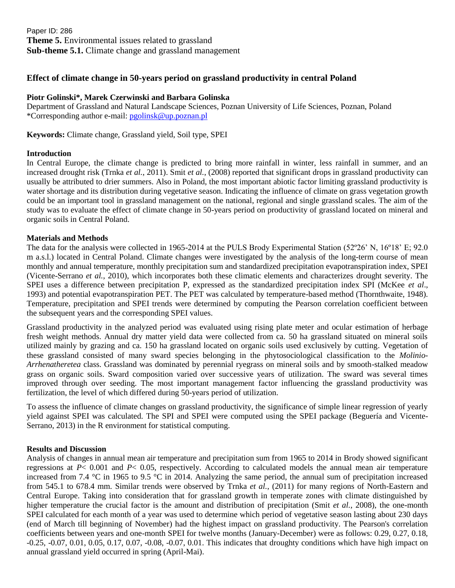Paper ID: 286 **Theme 5.** Environmental issues related to grassland **Sub-theme 5.1.** Climate change and grassland management

## **Effect of climate change in 50-years period on grassland productivity in central Poland**

### **Piotr Golinski\*, Marek Czerwinski and Barbara Golinska**

Department of Grassland and Natural Landscape Sciences, Poznan University of Life Sciences, Poznan, Poland \*Corresponding author e-mail: [pgolinsk@up.poznan.pl](mailto:pgolinsk@up.poznan.pl)

**Keywords:** Climate change, Grassland yield, Soil type, SPEI

#### **Introduction**

In Central Europe, the climate change is predicted to bring more rainfall in winter, less rainfall in summer, and an increased drought risk (Trnka *et al.*, 2011). Smit *et al.*, (2008) reported that significant drops in grassland productivity can usually be attributed to drier summers. Also in Poland, the most important abiotic factor limiting grassland productivity is water shortage and its distribution during vegetative season. Indicating the influence of climate on grass vegetation growth could be an important tool in grassland management on the national, regional and single grassland scales. The aim of the study was to evaluate the effect of climate change in 50-years period on productivity of grassland located on mineral and organic soils in Central Poland.

#### **Materials and Methods**

The data for the analysis were collected in 1965-2014 at the PULS Brody Experimental Station (52°26' N, 16°18' E; 92.0") m a.s.l.) located in Central Poland. Climate changes were investigated by the analysis of the long-term course of mean monthly and annual temperature, monthly precipitation sum and standardized precipitation evapotranspiration index, SPEI (Vicente-Serrano *et al.*, 2010), which incorporates both these climatic elements and characterizes drought severity. The SPEI uses a difference between precipitation P, expressed as the standardized precipitation index SPI (McKee *et al*., 1993) and potential evapotranspiration PET. The PET was calculated by temperature-based method (Thornthwaite, 1948). Temperature, precipitation and SPEI trends were determined by computing the Pearson correlation coefficient between the subsequent years and the corresponding SPEI values.

Grassland productivity in the analyzed period was evaluated using rising plate meter and ocular estimation of herbage fresh weight methods. Annual dry matter yield data were collected from ca. 50 ha grassland situated on mineral soils utilized mainly by grazing and ca. 150 ha grassland located on organic soils used exclusively by cutting. Vegetation of these grassland consisted of many sward species belonging in the phytosociological classification to the *Molinio-Arrhenatheretea* class. Grassland was dominated by perennial ryegrass on mineral soils and by smooth-stalked meadow grass on organic soils. Sward composition varied over successive years of utilization. The sward was several times improved through over seeding. The most important management factor influencing the grassland productivity was fertilization, the level of which differed during 50-years period of utilization.

To assess the influence of climate changes on grassland productivity, the significance of simple linear regression of yearly yield against SPEI was calculated. The SPI and SPEI were computed using the SPEI package (Beguería and Vicente-Serrano, 2013) in the R environment for statistical computing.

#### **Results and Discussion**

Analysis of changes in annual mean air temperature and precipitation sum from 1965 to 2014 in Brody showed significant regressions at  $P < 0.001$  and  $P < 0.05$ , respectively. According to calculated models the annual mean air temperature increased from 7.4 °C in 1965 to 9.5 °C in 2014. Analyzing the same period, the annual sum of precipitation increased from 545.1 to 678.4 mm. Similar trends were observed by Trnka *et al.*, (2011) for many regions of North-Eastern and Central Europe. Taking into consideration that for grassland growth in temperate zones with climate distinguished by higher temperature the crucial factor is the amount and distribution of precipitation (Smit *et al.*, 2008), the one-month SPEI calculated for each month of a year was used to determine which period of vegetative season lasting about 230 days (end of March till beginning of November) had the highest impact on grassland productivity. The Pearson's correlation coefficients between years and one-month SPEI for twelve months (January-December) were as follows: 0.29, 0.27, 0.18, -0.25, -0.07, 0.01, 0.05, 0.17, 0.07, -0.08, -0.07, 0.01. This indicates that droughty conditions which have high impact on annual grassland yield occurred in spring (April-Mai).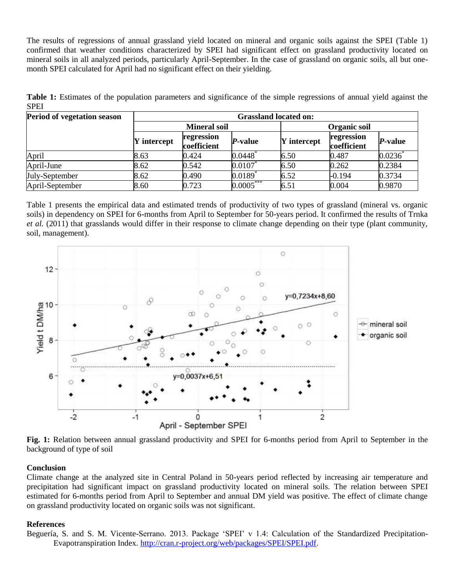The results of regressions of annual grassland yield located on mineral and organic soils against the SPEI (Table 1) confirmed that weather conditions characterized by SPEI had significant effect on grassland productivity located on mineral soils in all analyzed periods, particularly April-September. In the case of grassland on organic soils, all but onemonth SPEI calculated for April had no significant effect on their yielding.

**Table 1:** Estimates of the population parameters and significance of the simple regressions of annual yield against the SPEI

| Period of vegetation season | <b>Grassland located on:</b> |                           |                       |                    |                           |         |
|-----------------------------|------------------------------|---------------------------|-----------------------|--------------------|---------------------------|---------|
|                             | <b>Mineral soil</b>          |                           |                       | Organic soil       |                           |         |
|                             | Y intercept                  | regression<br>coefficient | P-value               | <b>Y</b> intercept | regression<br>coefficient | P-value |
| April                       | 8.63                         | 0.424                     | 0.0448                | 6.50               | 0.487                     | 0.0236  |
| April-June                  | 8.62                         | 0.542                     | 0.0107                | 6.50               | 0.262                     | 0.2384  |
| July-September              | 8.62                         | 0.490                     | $0.0189$ <sup>*</sup> | 6.52               | $-0.194$                  | 0.3734  |
| April-September             | 8.60                         | 0.723                     | $0.0005***$           | 6.51               | 0.004                     | 0.9870  |

Table 1 presents the empirical data and estimated trends of productivity of two types of grassland (mineral vs. organic soils) in dependency on SPEI for 6-months from April to September for 50-years period. It confirmed the results of Trnka *et al.* (2011) that grasslands would differ in their response to climate change depending on their type (plant community, soil, management).



**Fig. 1:** Relation between annual grassland productivity and SPEI for 6-months period from April to September in the background of type of soil

#### **Conclusion**

Climate change at the analyzed site in Central Poland in 50-years period reflected by increasing air temperature and precipitation had significant impact on grassland productivity located on mineral soils. The relation between SPEI estimated for 6-months period from April to September and annual DM yield was positive. The effect of climate change on grassland productivity located on organic soils was not significant.

#### **References**

Beguería, S. and S. M. Vicente-Serrano. 2013. Package 'SPEI' v 1.4: Calculation of the Standardized Precipitation-Evapotranspiration Index. [http://cran.r-project.org/web/packages/SPEI/SPEI.pdf.](http://cran.r-project.org/web/packages/SPEI/SPEI.pdf)